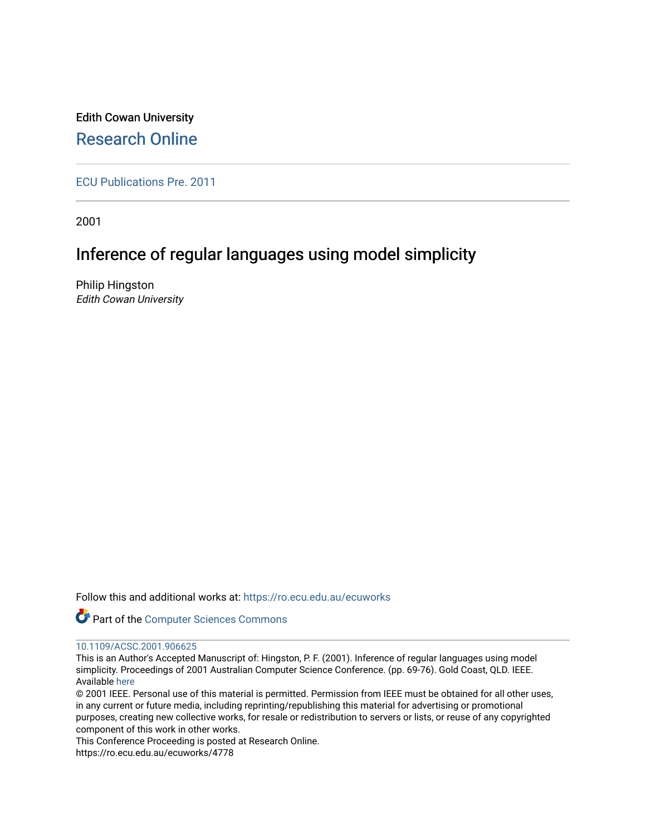Edith Cowan University [Research Online](https://ro.ecu.edu.au/) 

[ECU Publications Pre. 2011](https://ro.ecu.edu.au/ecuworks)

2001

# Inference of regular languages using model simplicity

Philip Hingston Edith Cowan University

Follow this and additional works at: [https://ro.ecu.edu.au/ecuworks](https://ro.ecu.edu.au/ecuworks?utm_source=ro.ecu.edu.au%2Fecuworks%2F4778&utm_medium=PDF&utm_campaign=PDFCoverPages) 

Part of the [Computer Sciences Commons](http://network.bepress.com/hgg/discipline/142?utm_source=ro.ecu.edu.au%2Fecuworks%2F4778&utm_medium=PDF&utm_campaign=PDFCoverPages)

# [10.1109/ACSC.2001.906625](http://dx.doi.org/10.1109/ACSC.2001.906625)

This is an Author's Accepted Manuscript of: Hingston, P. F. (2001). Inference of regular languages using model simplicity. Proceedings of 2001 Australian Computer Science Conference. (pp. 69-76). Gold Coast, QLD. IEEE. Available [here](http://dx.doi.org/10.1109/ACSC.2001.906625) 

© 2001 IEEE. Personal use of this material is permitted. Permission from IEEE must be obtained for all other uses, in any current or future media, including reprinting/republishing this material for advertising or promotional purposes, creating new collective works, for resale or redistribution to servers or lists, or reuse of any copyrighted component of this work in other works.

This Conference Proceeding is posted at Research Online.

https://ro.ecu.edu.au/ecuworks/4778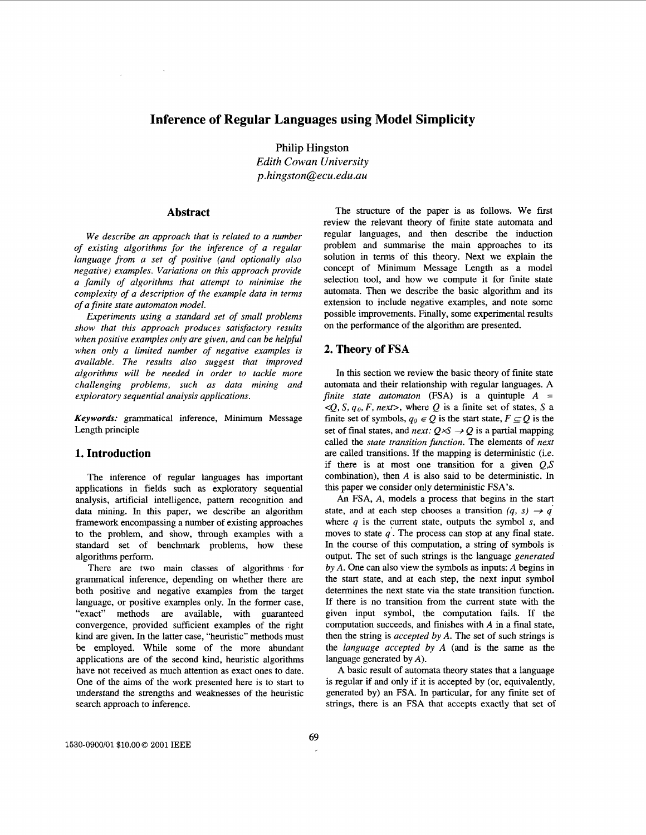# **Inference of Regular Languages using Model Simplicity**

*Philip Hingston Edith Cowan University p .hingston@ecu .edu.au* 

## **Abstract**

*We describe an approach that is related to a number of existing algorithms for the inference of a regular language from a set of positive (and optionally also negative) examples. Variations on this approach provide a family of algorithms that attempt to minimise the complexity of a description of the example data in terms of a finite state automaton model.* 

*Experiments using a standard set of small problems show that this approach produces satisfactory results when positive examples only are given, and can be helpful when only a limited number of negative examples is available. The results also suggest that improved algorithms will be needed in order to tackle more challenging problems, such as data mining and exploratory sequential analysis applications.* 

*Key words:* grammatical inference, Minimum Message Length principle

#### **1. Introduction**

The inference of regular languages has important applications in fields such as exploratory sequential analysis, artificial intelligence, pattern recognition and data mining. In this paper, we describe an algorithm framework encompassing a number of existing approaches to the problem, and show, through examples with a standard set of benchmark problems, how these algorithms perform.

There are two main classes of algorithms for grammatical inference, depending on whether there are both positive and negative examples from the target language, or positive examples only. In the former case, "exact" methods are available, with guaranteed convergence, provided sufficient examples of the right kind are given. In the latter case, "heuristic" methods must be employed. While some **of** the more abundant applications are of the second kind, heuristic algorithms have not received as much attention as exact ones to date. One of the aims of the work presented here is to start to understand the strengths and weaknesses of the heuristic search approach to inference.

The structure of the paper is as follows. We fist review the relevant theory of finite state automata and regular languages, and then describe the induction problem and summarise the main approaches to its solution in terms of this theory. Next we explain the concept of Minimum Message Length as a model selection tool, and how we compute it for finite state automata. Then we describe the basic algorithm and its extension to include negative examples, and note some possible improvements. Finally, some experimental results on the performance of the algorithm are presented.

## **2. Theory of FSA**

In this section we review the basic theory of finite state automata and their relationship with regular languages. A *finite state automaton* **(FSA)** is a quintuple *A* =  $\langle Q, S, q_0, F, \text{next} \rangle$ , where  $Q$  is a finite set of states, S a finite set of symbols,  $q_0 \in Q$  is the start state,  $F \subseteq Q$  is the set of final states, and *next:*  $Q \times S \rightarrow Q$  is a partial mapping called the *state transition function.* The elements of *next*  are called transitions. If the mapping is deterministic (i.e. if there is at most one transition for a given *Q,S*  combination), then *A* is also said to be deterministic. In this paper we consider only deterministic **FSA's.** 

*An* FSA, **A,** models a process that begins in the start state, and at each step chooses a transition  $(q, s) \rightarrow q'$ where  $q$  is the current state, outputs the symbol  $s$ , and moves to state  $q'$ . The process can stop at any final state. In the course of this computation, a string of symbols is output. The set of such strings is the language *generated by A.* One can also view the symbols as inputs: *A* begins in the start state, and at each step, the next input symbol determines the next state via the state transition function. If there is no transition from the current state with the given input symbol, the computation fails. If the computation succeeds, and finishes with **A** in **a** final state, then the string is *accepted by A.* The set of such strings **is**  the *language accepted by A* (and **is** the same **as** the language generated by *A).* 

A basic result **of** automata theory states that a language is regular if and only if it is accepted by (or, equivalently, generated by) an **FSA.** In particular, for any finite set of strings, there is an **FSA** that accepts exactly that set of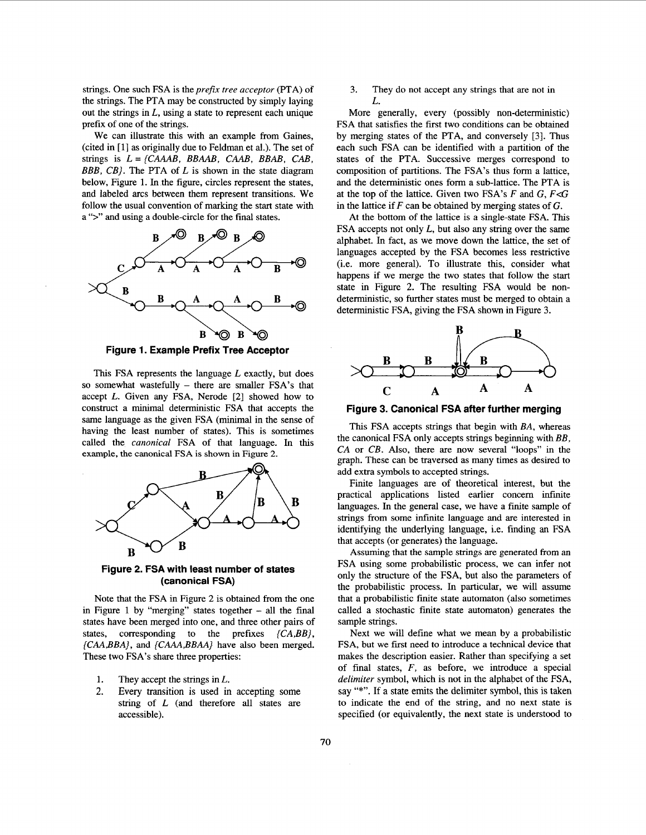<span id="page-2-0"></span>strings. One such FSA is the *prefix tree acceptor* (PTA) of the strings. The PTA may be constructed by simply laying out the **strings** in *L,* using a state to represent each unique prefix of one of the strings.

We can illustrate this with an example from Gaines, (cited in  $[1]$  as originally due to Feldman et al.). The set of **strings** is *L* = *{CAAAB, BBAAB, CAAB, BBAB, CAB, BBB, CB}.* The PTA of *L* is shown in the state diagram below, Figure **1.** In the figure, circles represent the states, and labeled arcs between them represent transitions. We follow the usual convention of marking the start state with a ">" and using a double-circle for the final states.



**Figure 1. Example Prefix Tree Acceptor** 

This FSA represents the language *L* exactly, but does so somewhat wastefully  $-$  there are smaller FSA's that accept *L.* Given any FSA, Nerode [2] showed how to construct a minimal deterministic FSA that accepts the same language as the given FSA (minimal in the sense of having the least number of states). This is sometimes called the *canonical* FSA of that language. In this example, the canonical **FSA** is **shown** in **Figure** *2.* 



### **Figure 2. FSA with least number of states (canonical FSA)**

Note that the FSA in Figure 2 is obtained from the one in Figure 1 by "merging" states together - all the final states have been merged into one, and three other pairs of states, corresponding to the prefixes *{CA,BB}, {CAAJBA},* and *{CAAA,BBAA}* have also been merged. These two FSA's share three properties:

- 1. They accept the strings in *L.*
- 2. Every transition is used in accepting some string of *L* (and therefore all states are accessible).

3. They do not accept any strings that are not in *L.* 

More generally, every (possibly non-deterministic) FSA that satisfies the first two conditions can be obtained by merging states of the PTA, and conversely [3]. Thus each such FSA can be identified with a partition of the states of the PTA. Successive merges correspond to composition of partitions. The FSA's thus form a lattice, and the deterministic ones form a sub-lattice. The PTA is at the top **of** the lattice. Given two FSA's *F* and *G, F<G*  in the lattice if *F* can be obtained by merging states of *G.* 

At the bottom of the lattice is a single-state FSA. This FSA accepts not only *L,* but also any string over the same alphabet. In fact, as we move down the lattice, the set of languages accepted by the FSA becomes less restrictive (i.e. more general). To illustrate this, consider what happens if we merge the two states that follow the start state in Figure 2. The resulting FSA would be nondeterministic, so further states must be merged to obtain a deterministic FSA, giving the FSA shown in Figure 3.



**Figure 3. Canonical FSA after further merging** 

This FSA accepts strings that begin with *BA,* whereas the canonical FSA only accepts strings beginning with *BB, CA* or *CB.* Also, there are now several "loops" in the graph. These can be traversed as many times as desired to add extra symbols to accepted strings.

Finite languages are of theoretical interest, but the practical applications listed earlier concem infnite languages. In the general case, we have a finite sample of strings from some infinite language and are interested in identifying the underlying language, i.e. finding an FSA that accepts (or generates) the language.

Assuming that the sample strings are generated from an FSA using some probabilistic process, we can infer not only the structure of the FSA, but also the parameters of the probabilistic process. In particular, we will assume that a probabilistic finite state automaton (also sometimes called a stochastic finite state automaton) generates the sample strings.

Next we will define what we mean by a probabilistic FSA, but we first need to introduce a technical device that makes the description easier. Rather than specifying a set of final states, *F,* as before, we introduce a special *delimiter* symbol, which is not in the alphabet of the FSA, say "\*". If a state emits the delimiter symbol, this is taken to indicate the end of the string, and no next state is specified (or equivalently, the next state is understood to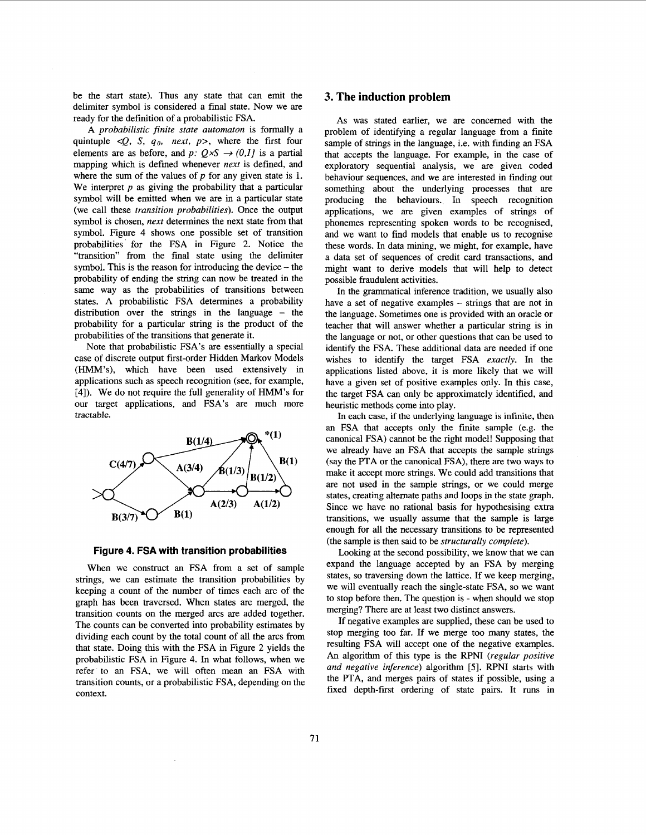be the start state). Thus any state that can emit the delimiter symbol is considered a final state. Now we are ready for the definition of a probabilistic FSA.

A *probabilistic finite state automaton* is formally a quintuple *<Q,* S, *40, next, p>.* where the first four elements are as before, and *p*:  $Q \times S \rightarrow (0,1)$  is a partial mapping which is defined whenever *next* is defined, and where the sum of the values of *p* for any given state is 1. We interpret *p* as giving the probability that a particular symbol will be emitted when we are in a particular state (we call these *transition probabilities).* Once the output symbol is chosen, *next* determines the next state from that symbol. Figure 4 shows one possible set of transition probabilities' for the FSA in [Figure 2.](#page-2-0) Notice the "transition" from the final state using the delimiter symbol. This is the reason for introducing the device  $-$  the probability of ending the string can now be treated in the same way as the probabilities of transitions between states. A probabilistic FSA determines a probability distribution over the strings in the language  $-$  the probability for a particular string is the product of the probabilities of the transitions that generate it.

Note that probabilistic FSA's are essentially a special case of discrete output first-order Hidden Markov Models (HMM's), which have been used extensively in applications such as speech recognition (see, for example, [4]). We do not require the full generality of HMM's for our target applications, and FSA's are much more tractable.



#### **Figure 4. FSA with transition probabilities**

When we construct an FSA from a set of sample strings, we can estimate the transition probabilities by keeping a count of the number of times each arc of the graph has been traversed. When states are merged, the transition counts on the merged arcs are added together. The counts can be converted into probability estimates by dividing each count by the total count **of** all the arcs from that state. Doing this with the FSA in [Figure 2](#page-2-0) yields the probabilistic FSA in Figure 4. In what follows, when we refer' to an FSA, we will often mean an FSA with transition counts, or a probabilistic FSA, depending on the context.

#### **3. The induction problem**

As was stated earlier, we are concemed with the problem of identifying a regular language from a finite sample of strings in the language, i.e. with finding an FSA that accepts the language. For example, in the case of exploratory sequential analysis, we are given coded behaviour sequences, and we are interested in finding out something about the underlying processes that are producing the behaviours. In speech recognition applications, we are given examples of strings of phonemes representing spoken words to be recognised, and we want to find models that enable **us** to recognise these words. In data mining, we might, for example, have a data set of sequences of credit card transactions, and might want to derive models that will help to detect possible fraudulent activities.

In the grammatical inference tradition, we usually also have a set of negative examples - strings that are not in the language. Sometimes one is provided with an oracle or teacher that will answer whether a particular string is in the language or not, or other questions that can be used to identify the FSA. These additional data are needed if one wishes to identify the target FSA *exactly.* In the applications listed above, it **is** more likely that we will have a given set of positive examples only. In this case, the target FSA can only be approximately identified, and heuristic methods come into play.

In each case, **if** the underlying language is infinite, then an FSA that accepts **only** the finite sample (e.g. the canonical FSA) cannot be the right model! Supposing that we already have an FSA that accepts the sample strings (say the PTA or the canonical FSA), there are two ways to make it accept more strings. We could add transitions that are not used in the sample strings, or we could merge states, creating altemate paths and loops in the state graph. Since we have no rational basis for hypothesising extra transitions, we usually assume that the sample is large enough for all the necessary transitions to be represented (the sample is then said to be *structurally complete).* 

Looking at the second possibility, we know that we can expand the language accepted by an FSA by merging states, **so** traversing down the lattice. If we keep merging, we will eventually reach the single-state FSA, **so** we want to stop before then. The question is - when should we stop merging? There are at least two distinct answers.

If negative examples are supplied, these can be used to stop merging too far. If we merge too many states, the resulting FSA will accept one of the negative examples. An algorithm of this type is the **RPNI** *(regular positive and negative inference)* algorithm *[5].* RPNI starts with the PTA, and merges pairs **of** states if possible, using a fixed depth-first ordering of state pairs. It runs in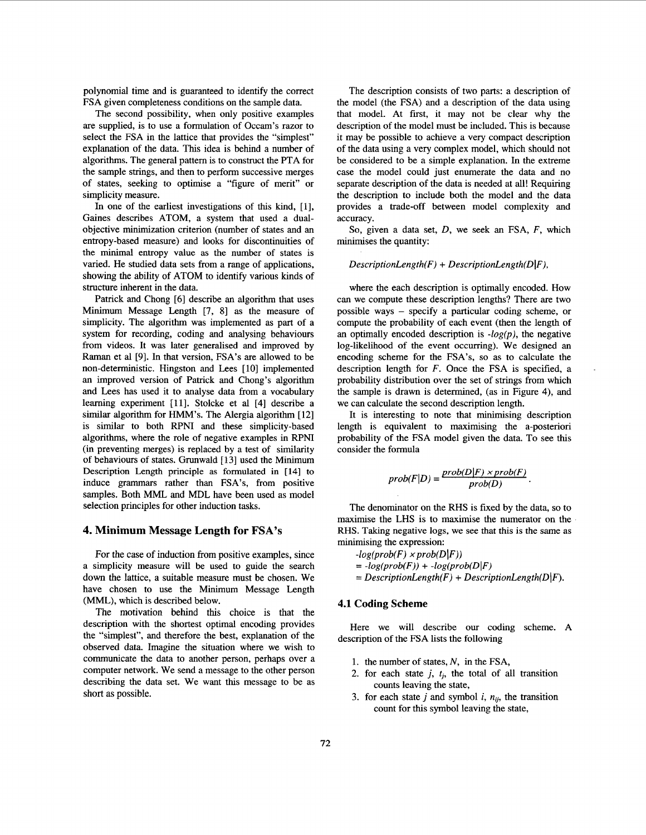polynomial time and is guaranteed to identify the correct FSA given completeness conditions on the sample data.

The second possibility, when only positive examples are supplied, is to use a formulation of Occam's razor to select the FSA in the lattice that provides the "simplest" explanation of the data. This idea is behmd a number of algorithms. The general pattem is to construct the PTA for the sample strings, and then to perform successive merges of states, seeking to optimise a "figure of merit" or simplicity measure.

In one of the earliest investigations of this kind, [1], Gaines describes ATOM, a system that used a dualobjective minimization criterion (number of states and an entropy-based measure) and looks for discontinuities of the minimal entropy value as the number of states is varied. He studied data sets from a range of applications, showing the ability of ATOM to identify various kinds of structure inherent in the data.

Patrick and Chong [6] describe an algorithm that uses Minimum Message Length [7, 8] as the measure of simplicity. The algorithm was implemented as part of a system for recording, coding and analysing behaviours from videos. It was later generalised and improved by Raman et a1 **[9].** In that version, FSA's are allowed to be non-deterministic. Hingston and Lees [ 101 implemented an improved version of Patrick and Chong's algorithm and Lees has used it to analyse data from a vocabulary learning experiment [11]. Stolcke et al [4] describe a similar algorithm for HMM's. The Alergia algorithm [12] is similar to both RPNI and these simplicity-based algorithms, where the role of negative examples in RPNI (in preventing merges) is replaced by a test of similarity of behaviours of states. Grunwald [ 131 used the Minimum Description Length principle as formulated in **[14]** to induce grammars rather than FSA's, from positive samples. Both MML and MDL have been used as model selection principles for other induction tasks.

### **4. Minimum Message Length for FSA's**

**For** the case of induction from positive examples, since a simplicity measure will be used to guide the search down the lattice, a suitable measure must be chosen. We have chosen to use the Minimum Message Length (MML), which is described below.

The motivation behind this choice is that the description with the shortest optimal encoding provides the "simplest", and therefore the best, explanation of the observed data. Imagine the situation where we wish to communicate the data to another person, perhaps over a computer network. We send a message to the other person describing the data set. We want this message to be as short as possible.

The description consists of two parts: a description **of**  the model (the FSA) and a description of the data using that model. At first, it may not be clear why the description of the model must be included. This is because it may be possible to achieve a very compact description of the data using a very complex model, which should not be considered to be a simple explanation. In the extreme case the model could just enumerate the data and no separate description of the data is needed at all! Requiring the description to include both the model and the data provides a trade-off between model complexity and accuracy.

**So,** given a data set, D, we seek an FSA, *F,* which minimises the quantity:

#### *DescriptionLengthfF)* + *DescriptionLength(DIF),*

where the each description is optimally encoded. How can we compute these description lengths? There are two possible ways - specify a particular coding scheme, or compute the probability of each event (then the length of an optimally encoded description is  $-log(p)$ , the negative log-likelihood of the event occurring). We designed an encoding scheme for the FSA's, **so** as to calculate the description length for *F.* Once the FSA is specified, a probability distribution over the set of strings from which the sample is drawn is determined, (as in Figure 4), and we can calculate the second description length.

It is interesting to note that minimising description length is equivalent to maximising the a-posteriori probability of the FSA model given the data. To see this consider the formula

$$
prob(F|D) = \frac{prob(D|F) \times prob(F)}{prob(D)}.
$$

The denominator on the RHS is fixed by the data, **so** to maximise the LHS is to maximise the numerator on the **RHS.** Taking negative logs, we see that this is the same as minimising the expression:

 $-log(prob(F) \times prob(D|F))$  $= -log(prob(F)) + -log(prob(D|F))$  $=$  *DescriptionLength(F)* + *DescriptionLength(D|F).* 

#### **4.1 Coding Scheme**

Here we will describe our coding scheme. A description of the FSA lists the following

- 1. the number of states, *N,* in the FSA,
- 2. for each state  $j$ ,  $t_j$ , the total of all transition counts leaving the state,
- 3. for each state *j* and symbol *i*,  $n_{ij}$ , the transition count for this symbol leaving the state,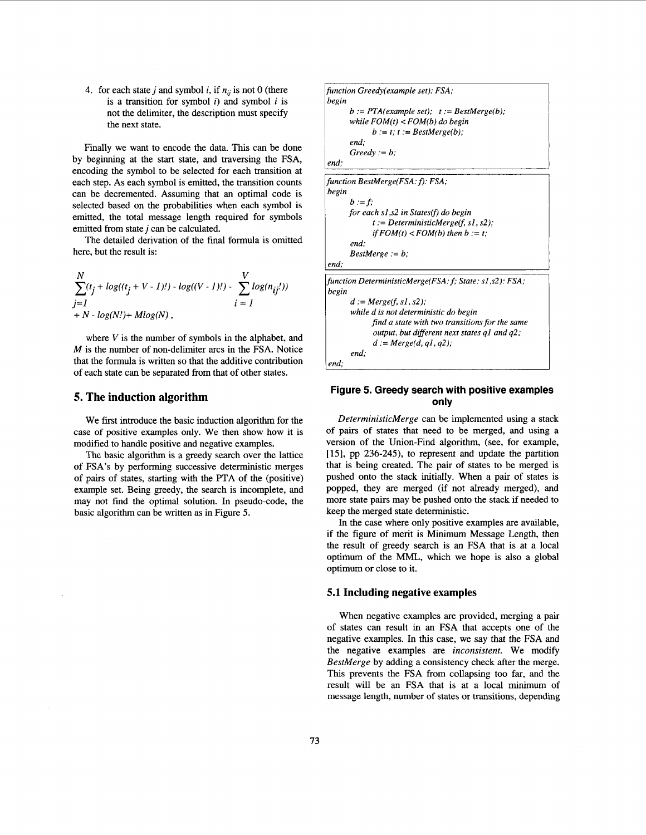4. for each state j and symbol *i*, if  $n_{ii}$  is not 0 (there is a transition for symbol *i)* and symbol *i* is not the delimiter, the description must specify the next state.

Finally we want to encode the data. This can be done by beginning at the start state, and traversing the FSA, encoding the symbol to be selected for each transition at each step. As each symbol is emitted, the transition counts can be decremented. Assuming that an optimal code is selected based on the probabilities when each symbol is emitted, the total message length required for symbols emitted from state  $i$  can be calculated.

The detailed derivation of the final formula is omitted here, but the result is:

$$
\begin{aligned} & \sum_{j=1}^{N}(t_{j}+log((t_{j}+V\cdot 1)!)\cdot log((V\cdot 1)!)\cdot \sum_{i=1}^{V}log(n_{ij}!)) \\ & j=1 \\ & +N\cdot log(N!)\cdot log(N)\,, \end{aligned}
$$

where  $V$  is the number of symbols in the alphabet, and *M* is the number of non-delimiter arcs in the FSA. Notice that the formula is written *so* that the additive contribution of each state can be separated from that of other states.

#### **5. The induction algorithm**

We fist introduce the basic induction algorithm for the case **of** positive examples only. We then show how it is modified to handle positive and negative examples.

The basic algorithm is a greedy search over the lattice of FSA's by performing successive deterministic merges of pairs of states, starting with the PTA of the (positive) example set. Being greedy, the search is incomplete, and may not find the optimal solution. In pseudo-code, the basic algorithm can be written as in Figure 5.

*function Greedy(examp1e set): FSA; begin*   $b := PTA(example set);$   $t := BestMerge(b);$ *while FOM(t)* < *FOM(b) do begin end;*   $Greedy := b$ ;  $b := t$ ;  $t := BestMerge(b)$ ; *end;* 

```
function BestMerge(FSA: 8: FSA; 
begin 
      b := f;
      for each SI ,s2 in Stateslf) do begin 
             t := DeterministicMerge(f, s1, s2);if FOM(t) < FOM(b) then b := t;
      end; 
      BestMerge := b;md. 
function DeterministicMerge(FSA: f; State: SI ~2): FSA; 
begin 
      d := Mergelf, SI, s2); 
      while d is not deterministic do begin 
             find a state with two transitions for the same 
             output, but different next states ql and q2; 
             d := Merge(d, ql, 92); 
       end; 
end:
```
## **Figure 5. Greedy search with positive examples only**

*DeterministicMerge* can be implemented using a stack **of** pairs **of** states that need to be merged, and using a version of the Union-Find algorithm, (see, for example, **[15],** pp **236-245),** to represent and update the partition that is being created. The pair of states to be merged is pushed onto the stack initially. When a pair of states is popped, they are merged (if not already merged), and more state pairs may be pushed onto the stack if needed to keep the merged state deterministic.

In the case where only positive examples are available, **if** the figure **of** merit is Minimum Message Length, then the result of greedy search is an FSA that is at a local optimum **of** the MML, which we hope is also a global optimum or close to it.

#### **5.1 Including negative examples**

When negative examples are provided, merging a pair of states can result in an FSA that accepts one of the negative examples. In this case, we say that the FSA and the negative examples are *inconsistent.* We modify *BestMerge* by adding a consistency check after the merge. This prevents the FSA from collapsing too far, and the result will be an FSA that is at a local minimum of message length, number of states or transitions, depending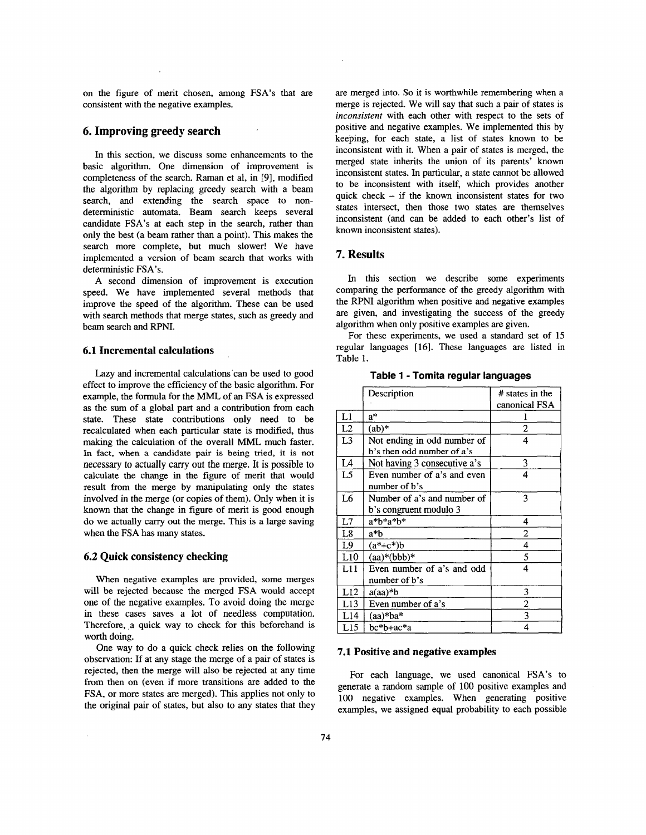on the figure of merit chosen, among FSA's that are consistent with the negative examples.

#### **6. Improving greedy search**

In this section, we discuss some enhancements to the basic algorithm. One dimension of improvement is completeness of the search. Raman et al, in **[9],** modified the algorithm by replacing greedy search with a beam search, and extending the search space to nondeterministic automata. Beam search keeps several candidate FSA's at each step in the search, rather than only the best (a beam rather than a point). This makes the search more complete, but much slower! We have implemented a version **of** beam search that works with deterministic FSA's.

A second dimension of improvement is execution speed. We have implemented several methods that improve the speed of the algorithm. These can be used with search methods that merge states, such as greedy and A second dimension of<br>speed. We have implement<br>improve the speed of the alg<br>with search methods that merg<br>beam search and RPNI.

#### **6.1 Incremental calculations**

Lazy and incremental calculations can be used to good effect to improve the efficiency of the basic algorithm. For example, the formula for the MML of an FSA is expressed as the sum of a global part and a contribution from each state. These state contributions only need to be recalculated when each particular state is modified, thus making the calculation of the overall MML much faster. In fact, when **a** candidate **pair** is being **tried,** it is **not**  necessary *to* actually carry out the merge. It **is** possible to calculate the change in the figure of merit that would result from the merge by manipulating only the states involved in the merge (or copies of them). Only when it is known that the change in figure of merit is good enough do we actually carry out the merge. This is a large saving when the FSA has many states.

#### **6.2 Quick consistency checking**

When negative examples are provided, some merges will be rejected because the merged FSA would accept one **of** the negative examples. To avoid doing the merge in these cases saves a lot of needless computation. Therefore, a quick way to check for this beforehand is worth doing.

One way to do a quick check relies on the following observation: If at any stage the merge **of** a pair of states is rejected, then the merge will also be rejected at any time from then on (even if more transitions are added to the **FSA,** or more states are merged). This applies not only to the original pair of states, but also to any states that they are merged into. **So** it is worthwhile remembering when a merge is rejected. We will say that such a pair of states is *inconsistent* with each other with respect to the sets of positive and negative examples. We implemented this by keeping, for each state, a list of states known to be inconsistent with it. When a pair of states is merged, the merged state inherits the union of its parents' known inconsistent states. In particular, a state cannot be allowed to be inconsistent with itself, which provides another quick check  $-$  if the known inconsistent states for two states intersect, then those two states are themselves inconsistent (and can be added to each other's list of known inconsistent states).

## **7. Results**

In this section we describe some experiments comparing the performance of the greedy algorithm with the RPNI algorithm when positive and negative examples are given, and investigating the success of the greedy algorithm when only positive examples are given.

For these experiments, we used a standard set of 15 regular languages [16]. These languages are listed in Table 1.

|     | Description                  | # states in the |
|-----|------------------------------|-----------------|
|     |                              | canonical FSA   |
| L1  | $a^*$                        |                 |
| L2  | $(ab)*$                      | 2               |
| L3  | Not ending in odd number of  | 4               |
|     | b's then odd number of a's   |                 |
| L4  | Not having 3 consecutive a's | 3               |
| L5  | Even number of a's and even  | 4               |
|     | number of b's                |                 |
| L6  | Number of a's and number of  | 3               |
|     | b's congruent modulo 3       |                 |
| L7  | a*b*a*b*                     | 4               |
| L8  | a*b                          | $\overline{c}$  |
| L9  | $(a^*+c^*)b$                 | 4               |
| L10 | $(aa)*(bbb)*$                | 5               |
| L11 | Even number of a's and odd   | 4               |
|     | number of b's                |                 |
| L12 | a(aa)*b                      | 3               |
| L13 | Even number of a's           | 2               |
| L14 | $(aa)*ba*$                   | 3               |
| L15 | bc*b+ac*a                    | 4               |

**Table 1** - **Tomita regular languages** 

#### **7.1 Positive and negative examples**

For each language, we used canonical **FSA's** to generate a random sample of 100 positive examples and **100** negative examples. When generating positive examples, we assigned equal probability to each possible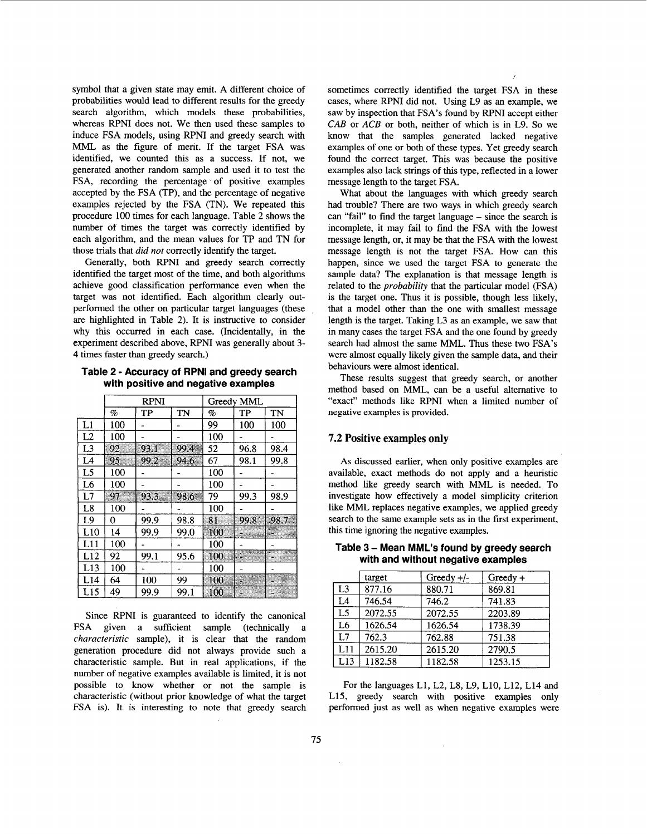symbol that a given state may emit. A different choice of probabilities would lead to different results for the greedy search algorithm, which models these probabilities, whereas RPNI does not. We then used these samples to induce FSA models, using RPNI and greedy search with MML as the figure of merit. If the target FSA was identified, we counted this as a success. If not, we generated another random sample and used it to test the FSA, recording the percentage of positive examples accepted by the FSA (TP), and the percentage of negative examples rejected by the FSA (TN). We repeated this procedure 100 times for each language. Table 2 shows the number of times the target was correctly identified by each algorithm, and the mean values for TP and TN for those trials that *did not* correctly identify the target.

Generally, both RPNI and greedy search correctly identified the target most of the time, and both algorithms achieve good classification performance even when the target was not identified. Each algorithm clearly outperformed the other on particular target languages (these are highlighted in Table 2). It is instructive to consider why this occurred in each case. (Incidentally, in the experiment described above. RPNI was generally about 3-4 times faster than greedy search.)

Table 2 - Accuracy of RPNI and greedy search with positive and negative examples

|                | <b>RPNI</b> |      | Greedy MML |     |      |      |
|----------------|-------------|------|------------|-----|------|------|
|                | %           | TP   | TN         | %   | TP   | TN   |
| L1             | 100         |      |            | 99  | 100  | 100  |
| L2             | 100         |      |            | 100 |      |      |
| L <sub>3</sub> | 92          | 93.1 | 99.4       | 52  | 96.8 | 98.4 |
| L4             | 95          | 99.2 | 94.6       | 67  | 98.1 | 99.8 |
| L5             | 100         |      |            | 100 |      |      |
| L6             | 100         |      |            | 100 |      |      |
| L7             | 97          | 93.3 | 98.6       | 79  | 99.3 | 98.9 |
| L8             | 100         |      |            | 100 |      |      |
| L9             | 0           | 99.9 | 98.8       | 81  | 99.8 | 98.7 |
| L10            | 14          | 99.9 | 99.0       | 100 |      |      |
| L11            | 100         |      |            | 100 |      |      |
| L12            | 92          | 99.1 | 95.6       | 100 |      |      |
| L13            | 100         |      |            | 100 |      |      |
| L14            | 64          | 100  | 99         | 100 |      |      |
| L15            | 49          | 99.9 | 99.1       | 100 |      |      |

Since RPNI is guaranteed to identify the canonical **FSA** given a sufficient sample (technically a *characteristic* sample), it is clear that the random generation procedure did not always provide such a characteristic sample. But in real applications, if the number of negative examples available is limited, it is not possible to know whether or not the sample is characteristic (without prior knowledge of what the target FSA is). It is interesting to note that greedy search sometimes correctly identified the target **FSA** in these cases, where RPNI did not. Using L9 as an example, we saw by inspection that **FSA's** found by RPNI accept either *CAB* or *ACB* or both, neither of which is in L9. So we know that the samples generated lacked negative examples of one or both of these types. Yet greedy search found the correct target. This was because the positive examples also lack strings of this type, reflected in a lower message length to the target **FSA.** 

What about the languages with which greedy search had trouble? There are two ways in which greedy search can "fail" to find the target language – since the search is incomplete, it may fail to find the **FSA** with the lowest message length, or, it may be that the **FSA** with the lowest message length is not the target **FSA.** How can this happen, since we used the target FSA to generate the sample data? The explanation is that message length is related to the probability that the particular model **(FSA)**  is the target one. Thus it is possible, though less likely, that a model other than the one with smallest message length is the target. Taking L3 as an example, we saw that in many cases the target **FSA** and the one found by greedy search had almost the same MML. Thus these two **FSA's**  were almost equally likely given the sample data, and their behaviours were almost identical.

These results suggest that greedy search, or another method based on MML, can be a useful alternative to "exact" methods like RPNI when a limited number of negative examples is provided.

## **7.2 Positive examples only**

As discussed earlier, when only positive examples are available, exact methods do not apply and a heuristic method like greedy search with MML is needed. To investigate how effectively a model simplicity criterion like MML replaces negative examples, we applied greedy search to the same example sets as in the first experiment, this time ignoring the negative examples.

**Table 3** - **Mean MML's found by greedy search with and without negative examples** 

|                | target  | Greedy $+/-$ | $Greedy +$ |
|----------------|---------|--------------|------------|
| L <sub>3</sub> | 877.16  | 880.71       | 869.81     |
| L <sub>4</sub> | 746.54  | 746.2        | 741.83     |
| L <sub>5</sub> | 2072.55 | 2072.55      | 2203.89    |
| L <sub>6</sub> | 1626.54 | 1626.54      | 1738.39    |
| L7             | 762.3   | 762.88       | 751.38     |
| L11            | 2615.20 | 2615.20      | 2790.5     |
| L13            | 1182.58 | 1182.58      | 1253.15    |

For the languages L1, L2, L8, L9, L10, L12, L14 and L15, greedy search with positive examples only performed just as well as when negative examples were